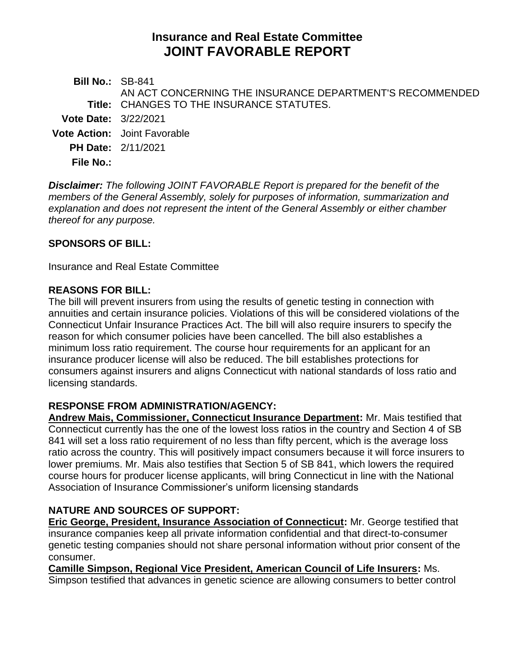# **Insurance and Real Estate Committee JOINT FAVORABLE REPORT**

**Bill No.:** SB-841 **Title:** CHANGES TO THE INSURANCE STATUTES. AN ACT CONCERNING THE INSURANCE DEPARTMENT'S RECOMMENDED **Vote Date:** 3/22/2021 **Vote Action:** Joint Favorable **PH Date:** 2/11/2021 **File No.:**

*Disclaimer: The following JOINT FAVORABLE Report is prepared for the benefit of the members of the General Assembly, solely for purposes of information, summarization and explanation and does not represent the intent of the General Assembly or either chamber thereof for any purpose.*

### **SPONSORS OF BILL:**

Insurance and Real Estate Committee

#### **REASONS FOR BILL:**

The bill will prevent insurers from using the results of genetic testing in connection with annuities and certain insurance policies. Violations of this will be considered violations of the Connecticut Unfair Insurance Practices Act. The bill will also require insurers to specify the reason for which consumer policies have been cancelled. The bill also establishes a minimum loss ratio requirement. The course hour requirements for an applicant for an insurance producer license will also be reduced. The bill establishes protections for consumers against insurers and aligns Connecticut with national standards of loss ratio and licensing standards.

#### **RESPONSE FROM ADMINISTRATION/AGENCY:**

**Andrew Mais, Commissioner, Connecticut Insurance Department:** Mr. Mais testified that Connecticut currently has the one of the lowest loss ratios in the country and Section 4 of SB 841 will set a loss ratio requirement of no less than fifty percent, which is the average loss ratio across the country. This will positively impact consumers because it will force insurers to lower premiums. Mr. Mais also testifies that Section 5 of SB 841, which lowers the required course hours for producer license applicants, will bring Connecticut in line with the National Association of Insurance Commissioner's uniform licensing standards

## **NATURE AND SOURCES OF SUPPORT:**

**Eric George, President, Insurance Association of Connecticut:** Mr. George testified that insurance companies keep all private information confidential and that direct-to-consumer genetic testing companies should not share personal information without prior consent of the consumer.

**Camille Simpson, Regional Vice President, American Council of Life Insurers:** Ms. Simpson testified that advances in genetic science are allowing consumers to better control